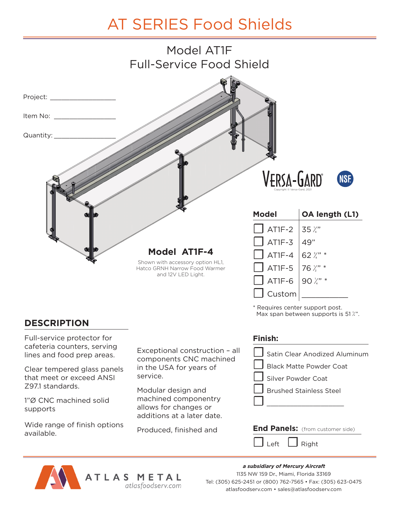## AT SERIES Food Shields



**DESCRIPTION**

Full-service protector for cafeteria counters, serving lines and food prep areas.

Clear tempered glass panels that meet or exceed ANSI Z97.1 standards.

1"Ø CNC machined solid supports

Wide range of finish options available.

Exceptional construction – all components CNC machined in the USA for years of service.

Modular design and machined componentry allows for changes or additions at a later date.

Produced, finished and

## **Finish:**



Nequires center support post.<br>Max span between supports is 51 %".

/



**a subsidiary of Mercury Aircraft** 1135 NW 159 Dr., Miami, Florida 33169 Tel: (305) 625-2451 or (800) 762-7565 • Fax: (305) 623-0475 atlasfoodserv.com • sales@atlasfoodserv.com